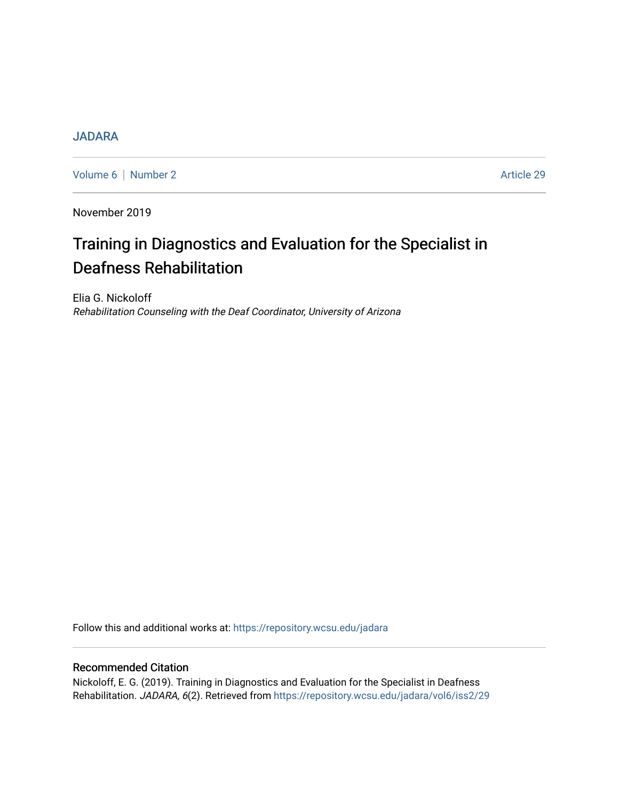# **[JADARA](https://repository.wcsu.edu/jadara)**

[Volume 6](https://repository.wcsu.edu/jadara/vol6) | [Number 2](https://repository.wcsu.edu/jadara/vol6/iss2) Article 29

November 2019

# Training in Diagnostics and Evaluation for the Specialist in Deafness Rehabilitation

Elia G. Nickoloff Rehabilitation Counseling with the Deaf Coordinator, University of Arizona

Follow this and additional works at: [https://repository.wcsu.edu/jadara](https://repository.wcsu.edu/jadara?utm_source=repository.wcsu.edu%2Fjadara%2Fvol6%2Fiss2%2F29&utm_medium=PDF&utm_campaign=PDFCoverPages)

## Recommended Citation

Nickoloff, E. G. (2019). Training in Diagnostics and Evaluation for the Specialist in Deafness Rehabilitation. JADARA, 6(2). Retrieved from [https://repository.wcsu.edu/jadara/vol6/iss2/29](https://repository.wcsu.edu/jadara/vol6/iss2/29?utm_source=repository.wcsu.edu%2Fjadara%2Fvol6%2Fiss2%2F29&utm_medium=PDF&utm_campaign=PDFCoverPages)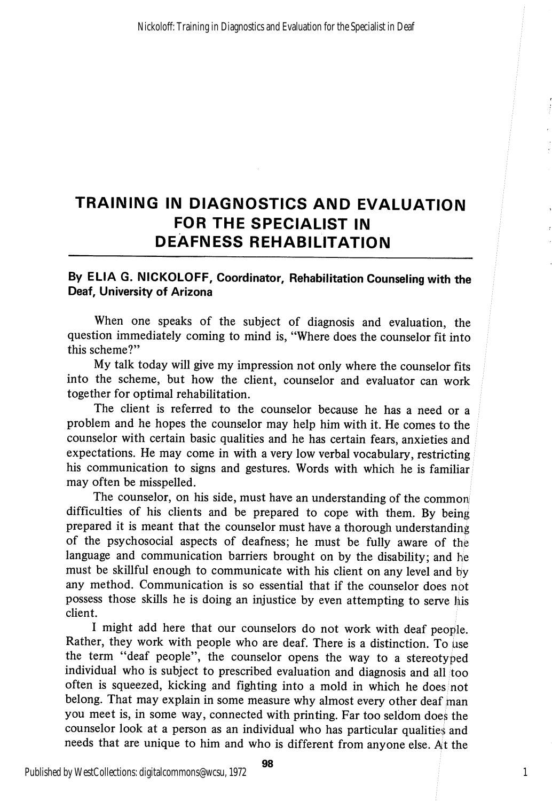# TRAINING IN DIAGNOSTICS AND EVALUATION FOR THE SPECIALIST IN DEAFNESS REHABILITATION

### By ELIA G. NICKOLOFF, Coordinator, Rehabilitation Counseling with the Deaf, University of Arizona

When one speaks of the subject of diagnosis and evaluation, the question immediately coming to mind is, "Where does the counselor fit into this scheme?"

My talk today will give my impression not only where the counselor fits into the scheme, but how the client, counselor and evaluator can work together for optimal rehabilitation.

The client is referred to the counselor because he has a need or a problem and he hopes the counselor may help him with it. He comes to the counselor with certain basic qualities and he has certain fears, anxieties and expectations. He may come in with a very low verbal vocabulary, restricting his communication to signs and gestures. Words with which he is familiar may often be misspelled.

The counselor, on his side, must have an understanding of the common difficulties of his clients and be prepared to cope with them. By being prepared it is meant that the counselor must have a thorough understanding of the psychosocial aspects of deafness; he must be fully aware of the language and communication barriers brought on by the disability; and  $he$ must be skillful enough to communicate with his client on any level and by any method. Communication is so essential that if the counselor does nbt possess those skills he is doing an injustice by even attempting to serve liis client.

I might add here that our counselors do not work with deaf people. Rather, they work with people who are deaf. There is a distinction. To use the term "deaf people", the counselor opens the way to a stereotyped individual who is subject to prescribed evaluation and diagnosis and all too often is squeezed, kicking and fighting into a mold in which he does; not belong. That may explain in some measure why almost every other deaf man you meet is, in some way, connected with printing. Far too seldom does the counselor look at a person as an individual who has particular qualities and needs that are unique to him and who is different from anyone else. At the

1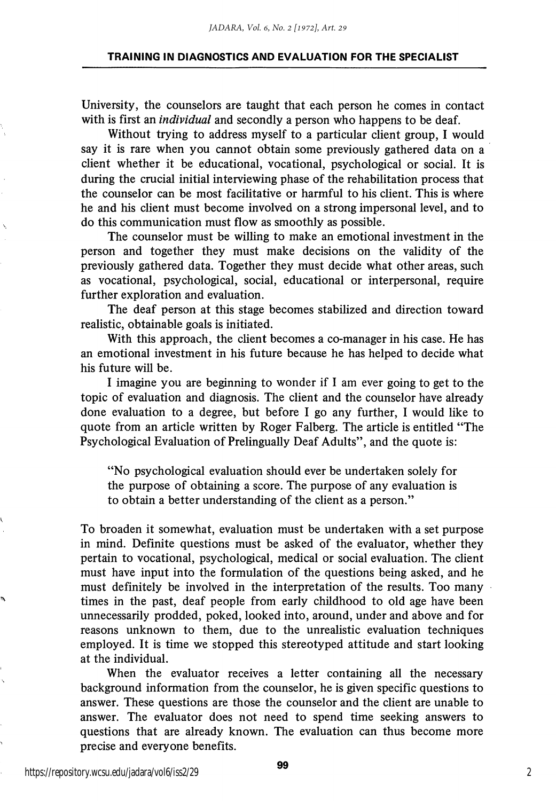#### TRAINING IN DIAGNOSTICS AND EVALUATION FOR THE SPECIALIST

University, the counselors are taught that each person he comes in contact with is first an *individual* and secondly a person who happens to be deaf.

Without trying to address myself to a particular client group, I would say it is rare when you cannot obtain some previously gathered data on a client whether it be educational, vocational, psychological or social. It is during the crucial initial interviewing phase of the rehabilitation process that the counselor can be most facilitative or harmful to his client. This is where he and his client must become involved on a strong impersonal level, and to do this communication must flow as smoothly as possible.

The counselor must be willing to make an emotional investment in the person and together they must make decisions on the validity of the previously gathered data. Together they must decide what other areas, such as vocational, psychological, social, educational or interpersonal, require further exploration and evaluation.

The deaf person at this stage becomes stabilized and direction toward realistic, obtainable goals is initiated.

With this approach, the client becomes a co-manager in his case. He has an emotional investment in his future because he has helped to decide what his future will be.

I imagine you are beginning to wonder if I am ever going to get to the topic of evaluation and diagnosis. The client and the counselor have already done evaluation to a degree, but before I go any further, I would like to quote from an article written by Roger Falberg. The article is entitled "The Psychological Evaluation of Prelingually Deaf Adults", and the quote is:

"No psychological evaluation should ever be undertaken solely for the purpose of obtaining a score. The purpose of any evaluation is to obtain a better understanding of the client as a person."

To broaden it somewhat, evaluation must be undertaken with a set purpose in mind. Definite questions must be asked of the evaluator, whether they pertain to vocational, psychological, medical or social evaluation. The client must have input into the formulation of the questions being asked, and he must definitely be involved in the interpretation of the results. Too many times in the past, deaf people from early childhood to old age have been unnecessarily prodded, poked, looked into, around, under and above and for reasons unknown to them, due to the unrealistic evaluation techniques employed. It is time we stopped this stereotyped attitude and start looking at the individual.

When the evaluator receives a letter containing all the necessary background information from the counselor, he is given specific questions to answer. These questions are those the counselor and the client are unable to answer. The evaluator does not need to spend time seeking answers to questions that are already known. The evaluation can thus become more precise and everyone benefits.